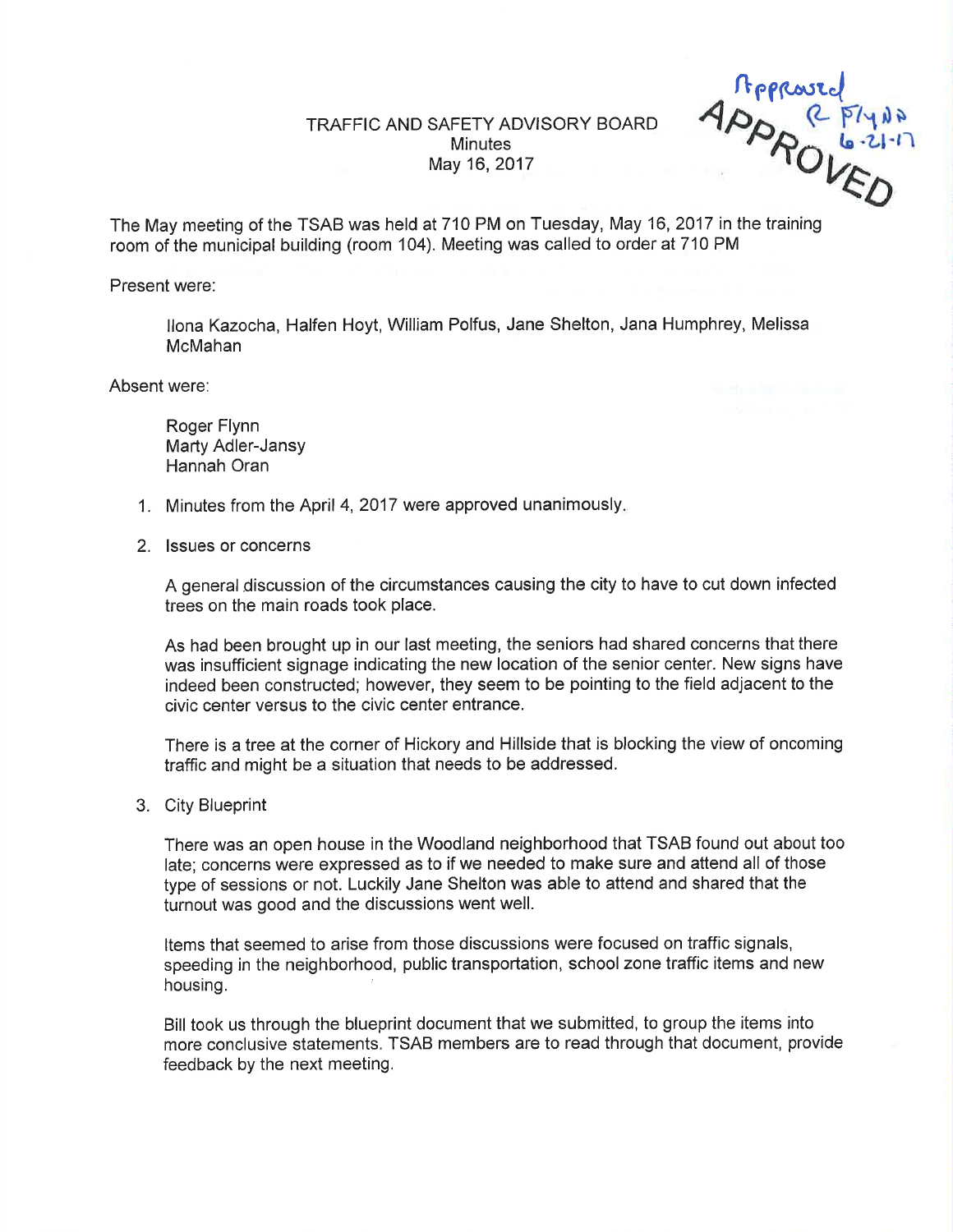## TRAFFIC AND SAFETY ADVISORY BOARD **Minutes** May 16,2017

ßefr,.o.r..l  $R_{\text{O}}$ 4

The May meeting of the TSAB was held at 710 PM on Tuesday, May 16, 2017 in the training room of the municipal building (room 104). Meeting was called to order at 710 PM

Present were:

llona Kazocha, Halfen Hoyt, William Polfus, Jane Shelton, Jana Humphrey, Melissa McMahan

Absent were:

Roger Flynn Marty Adler-Jansy Hannah Oran

- 1. Minutes from the April 4, 2017 were approved unanimously
- 2. lssues or concerns

A general discussion of the circumstances causing the city to have to cut down infected trees on the main roads took place.

As had been brought up in our last meeting, the seniors had shared concerns that there was insufficient signage indicating the new location of the senior center. New signs have indeed been constructed; however, they seem to be pointing to the field adjacent to the civic center versus to the civic center entrance.

There is a tree at the corner of Hickory and Hillside that is blocking the view of oncoming traffic and might be a situation that needs to be addressed.

3. City Blueprint

There was an open house in the Woodland neighborhood that TSAB found out about too late; concerns were expressed as to if we needed to make sure and attend all of those type of sessions or not. Luckily Jane Shelton was able to attend and shared that the turnout was good and the discussions went well.

Items that seemed to arise from those discussions were focused on traffic signals, speeding in the neighborhood, public transportation, school zone traffic items and new housing.

Bill took us through the blueprint document that we submitted, to group the items into more conclusive statements. TSAB members are to read through that document, provide feedback by the next meeting.